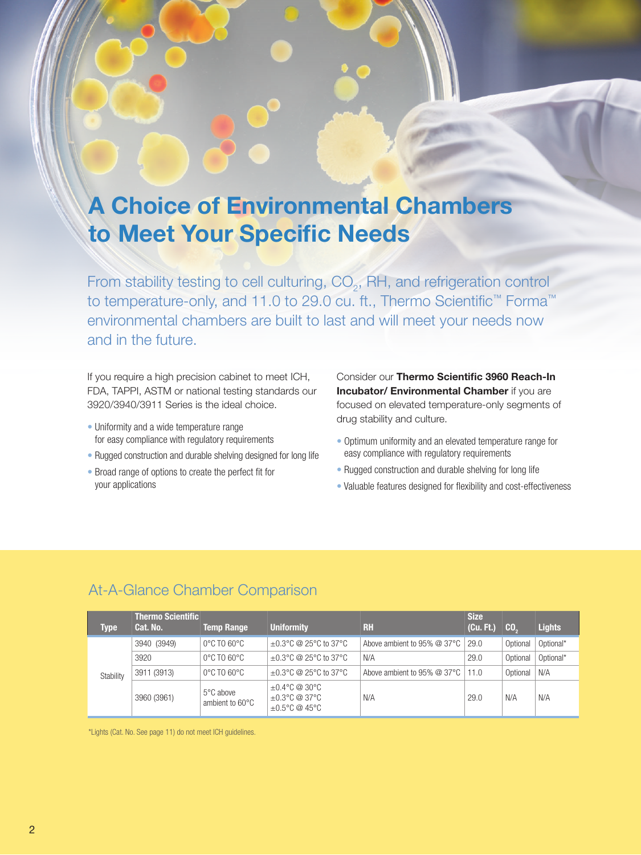# A Choice of Environmental Chambers to Meet Your Specific Needs

From stability testing to cell culturing,  $CO_{2}$ , RH, and refrigeration control to temperature-only, and 11.0 to 29.0 cu. ft., Thermo Scientific™ Forma™ environmental chambers are built to last and will meet your needs now and in the future.

If you require a high precision cabinet to meet ICH, FDA, TAPPI, ASTM or national testing standards our 3920/3940/3911 Series is the ideal choice.

- Uniformity and a wide temperature range for easy compliance with regulatory requirements
- Rugged construction and durable shelving designed for long life
- Broad range of options to create the perfect fit for your applications

Consider our Thermo Scientific 3960 Reach-In **Incubator/ Environmental Chamber if you are** focused on elevated temperature-only segments of drug stability and culture.

- Optimum uniformity and an elevated temperature range for easy compliance with regulatory requirements
- Rugged construction and durable shelving for long life
- Valuable features designed for flexibility and cost-effectiveness

# At-A-Glance Chamber Comparison

| <b>Type</b> | <b>Thermo Scientific</b><br>Cat. No. | <b>Temp Range</b>                                | <b>Uniformity</b>                                                                     | RH                                       | <b>Size</b><br>(Cu. Ft.) | CO.      | <b>Lights</b> |
|-------------|--------------------------------------|--------------------------------------------------|---------------------------------------------------------------------------------------|------------------------------------------|--------------------------|----------|---------------|
|             | 3940 (3949)                          | $0^{\circ}$ C TO 60 $^{\circ}$ C                 | $+0.3$ °C @ 25°C to 37°C                                                              | Above ambient to $95\%$ @ 37 $\degree$ C | 29.0                     | Optional | Optional*     |
|             | 3920                                 | $0^{\circ}$ C TO 60 $^{\circ}$ C                 | $+0.3$ °C @ 25°C to 37°C                                                              | N/A                                      | 29.0                     | Optional | Optional*     |
| Stability   | 3911 (3913)                          | $0^{\circ}$ C TO 60 $^{\circ}$ C                 | $+0.3$ °C @ 25°C to 37°C                                                              | Above ambient to 95% $@$ 37°C            | 11.0                     | Optional | N/A           |
|             | 3960 (3961)                          | $5^{\circ}$ C above<br>ambient to $60^{\circ}$ C | $+0.4\degree$ C @ 30 $\degree$ C<br>$\pm 0.3$ °C @ 37°C<br>$\pm 0.5^{\circ}$ C @ 45°C | N/A                                      | 29.0                     | N/A      | N/A           |

\*Lights (Cat. No. See page 11) do not meet ICH guidelines.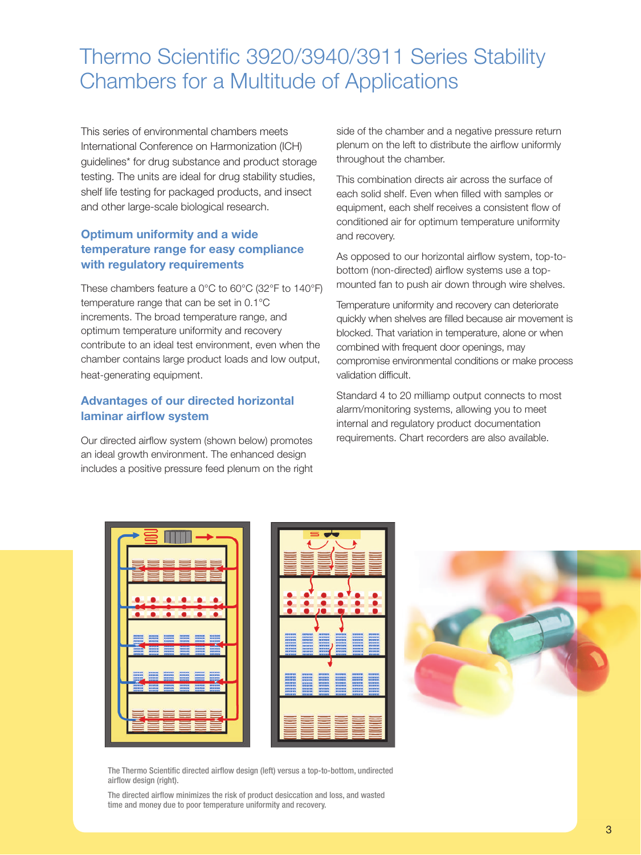# Thermo Scientific 3920/3940/3911 Series Stability Chambers for a Multitude of Applications

This series of environmental chambers meets International Conference on Harmonization (ICH) guidelines\* for drug substance and product storage testing. The units are ideal for drug stability studies, shelf life testing for packaged products, and insect and other large-scale biological research.

## Optimum uniformity and a wide temperature range for easy compliance with regulatory requirements

These chambers feature a 0°C to 60°C (32°F to 140°F) temperature range that can be set in 0.1°C increments. The broad temperature range, and optimum temperature uniformity and recovery contribute to an ideal test environment, even when the chamber contains large product loads and low output, heat-generating equipment.

### Advantages of our directed horizontal laminar airflow system

Our directed airflow system (shown below) promotes an ideal growth environment. The enhanced design includes a positive pressure feed plenum on the right side of the chamber and a negative pressure return plenum on the left to distribute the airflow uniformly throughout the chamber.

This combination directs air across the surface of each solid shelf. Even when filled with samples or equipment, each shelf receives a consistent flow of conditioned air for optimum temperature uniformity and recovery.

As opposed to our horizontal airflow system, top-tobottom (non-directed) airflow systems use a topmounted fan to push air down through wire shelves.

Temperature uniformity and recovery can deteriorate quickly when shelves are filled because air movement is blocked. That variation in temperature, alone or when combined with frequent door openings, may compromise environmental conditions or make process validation difficult.

Standard 4 to 20 milliamp output connects to most alarm/monitoring systems, allowing you to meet internal and regulatory product documentation requirements. Chart recorders are also available.







The Thermo Scientific directed airflow design (left) versus a top-to-bottom, undirected airflow design (right).

The directed airflow minimizes the risk of product desiccation and loss, and wasted time and money due to poor temperature uniformity and recovery.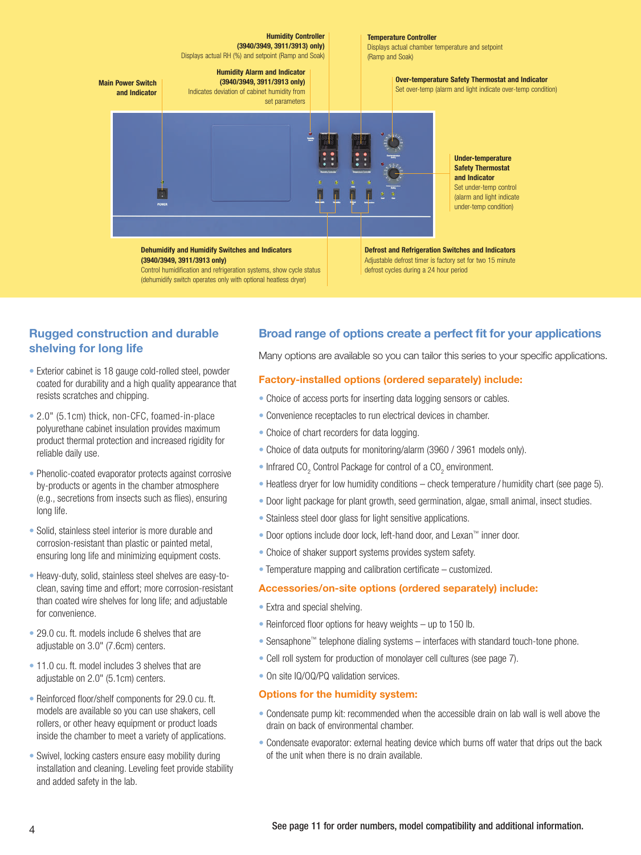#### Humidity Controller (3940/3949, 3911/3913) only) Displays actual RH (%) and setpoint (Ramp and Soak)

Humidity Alarm and Indicator (3940/3949, 3911/3913 only)

#### Temperature Controller

Displays actual chamber temperature and setpoint (Ramp and Soak)

Over-temperature Safety Thermostat and Indicator

Set over-temp (alarm and light indicate over-temp condition)

Indicates deviation of cabinet humidity from and Indicator set parameters F

Under-temperature Safety Thermostat and Indicator Set under-temp control (alarm and light indicate under-temp condition)

Dehumidify and Humidify Switches and Indicators (3940/3949, 3911/3913 only) Control humidification and refrigeration systems, show cycle status (dehumidify switch operates only with optional heatless dryer)

Defrost and Refrigeration Switches and Indicators Adjustable defrost timer is factory set for two 15 minute defrost cycles during a 24 hour period

## Rugged construction and durable shelving for long life

Main Power Switch

- Exterior cabinet is 18 gauge cold-rolled steel, powder coated for durability and a high quality appearance that resists scratches and chipping.
- 2.0" (5.1cm) thick, non-CFC, foamed-in-place polyurethane cabinet insulation provides maximum product thermal protection and increased rigidity for reliable daily use.
- Phenolic-coated evaporator protects against corrosive by-products or agents in the chamber atmosphere (e.g., secretions from insects such as flies), ensuring long life.
- Solid, stainless steel interior is more durable and corrosion-resistant than plastic or painted metal, ensuring long life and minimizing equipment costs.
- Heavy-duty, solid, stainless steel shelves are easy-toclean, saving time and effort; more corrosion-resistant than coated wire shelves for long life; and adjustable for convenience.
- 29.0 cu. ft. models include 6 shelves that are adjustable on 3.0" (7.6cm) centers.
- 11.0 cu. ft. model includes 3 shelves that are adjustable on 2.0" (5.1cm) centers.
- Reinforced floor/shelf components for 29.0 cu. ft. models are available so you can use shakers, cell rollers, or other heavy equipment or product loads inside the chamber to meet a variety of applications.
- Swivel, locking casters ensure easy mobility during installation and cleaning. Leveling feet provide stability and added safety in the lab.

# Broad range of options create a perfect fit for your applications

Many options are available so you can tailor this series to your specific applications.

#### Factory-installed options (ordered separately) include:

- Choice of access ports for inserting data logging sensors or cables.
- Convenience receptacles to run electrical devices in chamber.
- Choice of chart recorders for data logging.
- Choice of data outputs for monitoring/alarm (3960 / 3961 models only).
- Infrared CO<sub>2</sub> Control Package for control of a CO<sub>2</sub> environment.
- Heatless dryer for low humidity conditions check temperature / humidity chart (see page 5).
- Door light package for plant growth, seed germination, algae, small animal, insect studies.
- Stainless steel door glass for light sensitive applications.
- Door options include door lock, left-hand door, and Lexan™ inner door.
- Choice of shaker support systems provides system safety.
- Temperature mapping and calibration certificate customized.

#### Accessories/on-site options (ordered separately) include:

- Extra and special shelving.
- Reinforced floor options for heavy weights up to 150 lb.
- Sensaphone™ telephone dialing systems interfaces with standard touch-tone phone.
- Cell roll system for production of monolayer cell cultures (see page 7).
- On site IQ/OQ/PQ validation services.

#### Options for the humidity system:

- Condensate pump kit: recommended when the accessible drain on lab wall is well above the drain on back of environmental chamber.
- Condensate evaporator: external heating device which burns off water that drips out the back of the unit when there is no drain available.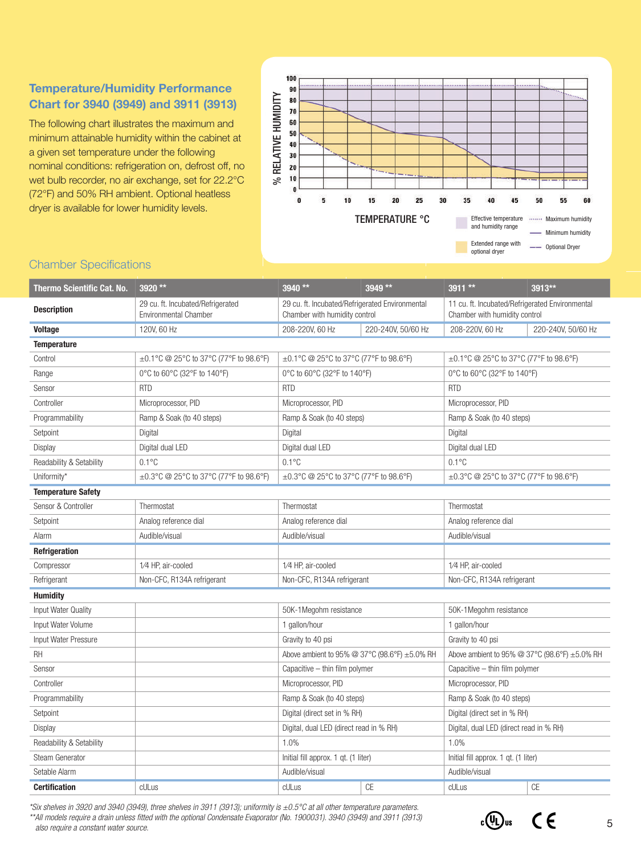# Temperature/Humidity Performance Chart for 3940 (3949) and 3911 (3913)

The following chart illustrates the maximum and minimum attainable humidity within the cabinet at a given set temperature under the following nominal conditions: refrigeration on, defrost off, no wet bulb recorder, no air exchange, set for 22.2°C (72°F) and 50% RH ambient. Optional heatless dryer is available for lower humidity levels.

Chamber Specifications



#### Thermo Scientific Cat. No. 3920 \*\* 3940 \*\* 3949 \*\* 3911 \*\* 3913\*\* **Description** 29 cu. ft. Incubated/Refrigerated Environmental Chamber 29 cu. ft. Incubated/Refrigerated Environmental Chamber with humidity control 11 cu. ft. Incubated/Refrigerated Environmental Chamber with humidity control **Voltage** 120V, 60 Hz 208-220V, 60 Hz 208-220V, 60 Hz 220-240V, 50/60 Hz 208-220V, 60 Hz 220-240V, 50/60 Hz **Temperature**  $\pm 0.1^{\circ}$ C @ 25°C to 37°C (77°F to 98.6°F)  $\pm 0.1^{\circ}$ C @ 25°C to 37°C (77°F to 98.6°F)  $\pm 0.1^{\circ}$ C @ 25°C to 37°C (77°F to 98.6°F) Range  $0^{\circ}$ C to 60°C (32°F to 140°F)  $0^{\circ}$ C to 60°C (32°F to 140°F)  $0^{\circ}$ C to 60°C (32°F to 140°F) Sensor RTD RTD RTD Controller Microprocessor, PID Microprocessor, PID Microprocessor, PID Microprocessor, PID Microprocessor, PID Programmability Ramp & Soak (to 40 steps) Ramp & Soak (to 40 steps) Ramp & Soak (to 40 steps) Ramp & Soak (to 40 steps) Setpoint Digital Digital Digital Display Digital dual LED Digital dual LED Digital dual LED Readability & Setability  $0.1^{\circ}$ C 0.1°C 0.1°C Uniformity\*  $\pm 0.3^{\circ}$ C @ 25°C to 37°C (77°F to 98.6°F)  $\pm 0.3^{\circ}$ C @ 25°C to 37°C (77°F to 98.6°F)  $\pm 0.3^{\circ}$ C @ 25°C to 37°C (77°F to 98.6°F) Temperature Safety Sensor & Controller Thermostat Thermostat Thermostat Thermostat Thermostat Thermostat Thermostat Thermostat Thermostat Setpoint Analog reference dial Analog reference dial Analog reference dial Analog reference dial Alarm Audible/visual Audible/visual Audible/visual Refrigeration Compressor 1⁄4 HP, air-cooled 1⁄4 HP, air-cooled 1⁄4 HP, air-cooled Refrigerant Non-CFC, R134A refrigerant Non-CFC, R134A refrigerant Non-CFC, R134A refrigerant Non-CFC, R134A refrigerant Humidity Input Water Quality 50K-1Megohm resistance 50K-1Megohm resistance Input Water Volume 1 gallon/hour 1 gallon/hour 1 gallon/hour 1 gallon/hour 1 gallon/hour 1 gallon/hour Input Water Pressure **Contact Accord Figure 1** Gravity to 40 psi Gravity to 40 psi Gravity to 40 psi RH Above ambient to 95% @ 37°C (98.6°F) ±5.0% RH Above ambient to 95% @ 37°C (98.6°F) ±5.0% RH Sensor **Capacitive – the Capacitive – thin film polymer** Capacitive – thin film polymer Capacitive – thin film polymer Controller **Microprocessor, PID** Microprocessor, PID Microprocessor, PID Microprocessor, PID Programmability **Ramp & Soak (to 40 steps)** Ramp & Soak (to 40 steps) Ramp & Soak (to 40 steps) Setpoint Digital (direct set in % RH) Digital (direct set in % RH) Digital, dual LED (direct read in % RH) Digital, dual LED (direct read in % RH) Digital, dual LED (direct read in % RH) Readability & Setability 1.0% 1.0% Steam Generator **Initial fill approx. 1 qt. (1 liter)** Initial fill approx. 1 qt. (1 liter) Initial fill approx. 1 qt. (1 liter) Setable Alarm **Audible/visual Audible/visual Audible/visual Audible/visual Audible/visual** Audible/visual Audible/visual **Certification** cULus cULus cultus cultus cultus CE cultus CE cultus CE cultus CE

*\*Six shelves in 3920 and 3940 (3949), three shelves in 3911 (3913); uniformity is ±0.5°C at all other temperature parameters. \*\*All models require a drain unless fitted with the optional Condensate Evaporator (No. 1900031). 3940 (3949) and 3911 (3913) also require a constant water source.*

C F  $(\mathtt{V}_\mathsf{L})_\mathsf{us}$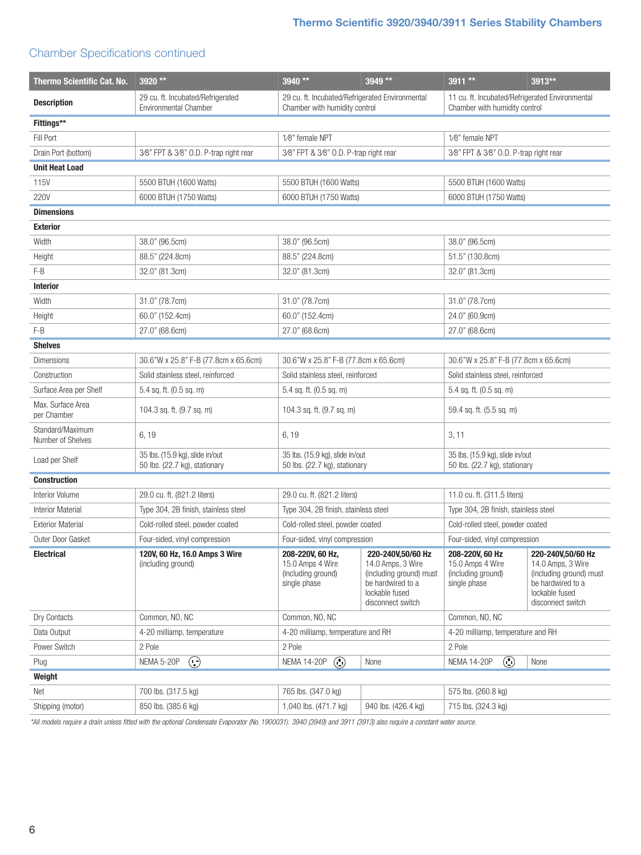# Chamber Specifications continued

| Thermo Scientific Cat. No.            | 3920 **                                                           | $3940**$                                                                         | 3949 **                                                                                                                       | $3911**$                                                                         | 3913**                                                                                                                        |
|---------------------------------------|-------------------------------------------------------------------|----------------------------------------------------------------------------------|-------------------------------------------------------------------------------------------------------------------------------|----------------------------------------------------------------------------------|-------------------------------------------------------------------------------------------------------------------------------|
| <b>Description</b>                    | 29 cu. ft. Incubated/Refrigerated<br><b>Environmental Chamber</b> | 29 cu. ft. Incubated/Refrigerated Environmental<br>Chamber with humidity control |                                                                                                                               | 11 cu. ft. Incubated/Refrigerated Environmental<br>Chamber with humidity control |                                                                                                                               |
| Fittings**                            |                                                                   |                                                                                  |                                                                                                                               |                                                                                  |                                                                                                                               |
| Fill Port                             |                                                                   | 1/8" female NPT                                                                  |                                                                                                                               | 1/8" female NPT                                                                  |                                                                                                                               |
| Drain Port (bottom)                   | 3⁄8" FPT & 3⁄8" O.D. P-trap right rear                            | 3⁄8" FPT & 3⁄8" O.D. P-trap right rear                                           |                                                                                                                               | 3⁄8" FPT & 3⁄8" O.D. P-trap right rear                                           |                                                                                                                               |
| <b>Unit Heat Load</b>                 |                                                                   |                                                                                  |                                                                                                                               |                                                                                  |                                                                                                                               |
| <b>115V</b>                           | 5500 BTUH (1600 Watts)                                            | 5500 BTUH (1600 Watts)                                                           |                                                                                                                               | 5500 BTUH (1600 Watts)                                                           |                                                                                                                               |
| <b>220V</b>                           | 6000 BTUH (1750 Watts)                                            | 6000 BTUH (1750 Watts)                                                           |                                                                                                                               | 6000 BTUH (1750 Watts)                                                           |                                                                                                                               |
| <b>Dimensions</b>                     |                                                                   |                                                                                  |                                                                                                                               |                                                                                  |                                                                                                                               |
| <b>Exterior</b>                       |                                                                   |                                                                                  |                                                                                                                               |                                                                                  |                                                                                                                               |
| Width                                 | 38.0" (96.5cm)                                                    | 38.0" (96.5cm)                                                                   |                                                                                                                               | 38.0" (96.5cm)                                                                   |                                                                                                                               |
| Height                                | 88.5" (224.8cm)                                                   | 88.5" (224.8cm)                                                                  |                                                                                                                               | 51.5" (130.8cm)                                                                  |                                                                                                                               |
| $F-B$                                 | 32.0" (81.3cm)                                                    | 32.0" (81.3cm)                                                                   |                                                                                                                               | 32.0" (81.3cm)                                                                   |                                                                                                                               |
| <b>Interior</b>                       |                                                                   |                                                                                  |                                                                                                                               |                                                                                  |                                                                                                                               |
| Width                                 | 31.0" (78.7cm)                                                    | 31.0" (78.7cm)                                                                   |                                                                                                                               | 31.0" (78.7cm)                                                                   |                                                                                                                               |
| Height                                | 60.0" (152.4cm)                                                   | 60.0" (152.4cm)                                                                  |                                                                                                                               | 24.0" (60.9cm)                                                                   |                                                                                                                               |
| F-B                                   | 27.0" (68.6cm)                                                    | 27.0" (68.6cm)                                                                   |                                                                                                                               | 27.0" (68.6cm)                                                                   |                                                                                                                               |
| <b>Shelves</b>                        |                                                                   |                                                                                  |                                                                                                                               |                                                                                  |                                                                                                                               |
| Dimensions                            | 30.6"W x 25.8" F-B (77.8cm x 65.6cm)                              | 30.6"W x 25.8" F-B (77.8cm x 65.6cm)                                             |                                                                                                                               | 30.6"W x 25.8" F-B (77.8cm x 65.6cm)                                             |                                                                                                                               |
| Construction                          | Solid stainless steel, reinforced                                 | Solid stainless steel, reinforced                                                |                                                                                                                               | Solid stainless steel, reinforced                                                |                                                                                                                               |
| Surface Area per Shelf                | $5.4$ sq. ft. $(0.5$ sq. m)                                       | $5.4$ sq. ft. $(0.5$ sq. m)                                                      |                                                                                                                               | $5.4$ sq. ft. $(0.5$ sq. m)                                                      |                                                                                                                               |
| Max. Surface Area<br>per Chamber      | 104.3 sq. ft. (9.7 sq. m)                                         | 104.3 sq. ft. (9.7 sq. m)                                                        |                                                                                                                               | 59.4 sq. ft. (5.5 sq. m)                                                         |                                                                                                                               |
| Standard/Maximum<br>Number of Shelves | 6, 19                                                             | 6, 19                                                                            |                                                                                                                               | 3, 11                                                                            |                                                                                                                               |
| Load per Shelf                        | 35 lbs. (15.9 kg), slide in/out<br>50 lbs. (22.7 kg), stationary  | 35 lbs. (15.9 kg), slide in/out<br>50 lbs. (22.7 kg), stationary                 |                                                                                                                               | 35 lbs. (15.9 kg), slide in/out<br>50 lbs. (22.7 kg), stationary                 |                                                                                                                               |
| <b>Construction</b>                   |                                                                   |                                                                                  |                                                                                                                               |                                                                                  |                                                                                                                               |
| <b>Interior Volume</b>                | 29.0 cu. ft. (821.2 liters)                                       | 29.0 cu. ft. (821.2 liters)                                                      |                                                                                                                               | 11.0 cu. ft. (311.5 liters)                                                      |                                                                                                                               |
| <b>Interior Material</b>              | Type 304, 2B finish, stainless steel                              | Type 304, 2B finish, stainless steel                                             |                                                                                                                               | Type 304, 2B finish, stainless steel                                             |                                                                                                                               |
| <b>Exterior Material</b>              | Cold-rolled steel, powder coated                                  | Cold-rolled steel, powder coated                                                 |                                                                                                                               | Cold-rolled steel, powder coated                                                 |                                                                                                                               |
| Outer Door Gasket                     | Four-sided, vinyl compression                                     | Four-sided, vinyl compression                                                    |                                                                                                                               | Four-sided, vinyl compression                                                    |                                                                                                                               |
| <b>Electrical</b>                     | 120V, 60 Hz, 16.0 Amps 3 Wire<br>(including ground)               | 208-220V, 60 Hz,<br>15.0 Amps 4 Wire<br>(including ground)<br>single phase       | 220-240V,50/60 Hz<br>14.0 Amps, 3 Wire<br>(including ground) must<br>be hardwired to a<br>lockable fused<br>disconnect switch | 208-220V, 60 Hz<br>15.0 Amps 4 Wire<br>(including ground)<br>single phase        | 220-240V,50/60 Hz<br>14.0 Amps, 3 Wire<br>(including ground) must<br>be hardwired to a<br>lockable fused<br>disconnect switch |
| Dry Contacts                          | Common, NO, NC                                                    | Common, NO, NC                                                                   |                                                                                                                               | Common, NO, NC                                                                   |                                                                                                                               |
| Data Output                           | 4-20 milliamp, temperature                                        | 4-20 milliamp, temperature and RH                                                |                                                                                                                               | 4-20 milliamp, temperature and RH                                                |                                                                                                                               |
| Power Switch                          | 2 Pole                                                            | 2 Pole                                                                           |                                                                                                                               | 2 Pole                                                                           |                                                                                                                               |
| Plug                                  | $\odot$<br>NEMA 5-20P                                             | $\odot$<br><b>NEMA 14-20P</b>                                                    | None                                                                                                                          | $\odot$<br><b>NEMA 14-20P</b>                                                    | None                                                                                                                          |
| Weight                                |                                                                   |                                                                                  |                                                                                                                               |                                                                                  |                                                                                                                               |
| Net                                   | 700 lbs. (317.5 kg)                                               | 765 lbs. (347.0 kg)                                                              |                                                                                                                               | 575 lbs. (260.8 kg)                                                              |                                                                                                                               |
| Shipping (motor)                      | 850 lbs. (385.6 kg)                                               | 1,040 lbs. (471.7 kg)                                                            | 940 lbs. (426.4 kg)                                                                                                           | 715 lbs. (324.3 kg)                                                              |                                                                                                                               |

*\*All models require a drain unless fitted with the optional Condensate Evaporator (No. 1900031). 3940 (3949) and 3911 (3913) also require a constant water source.*